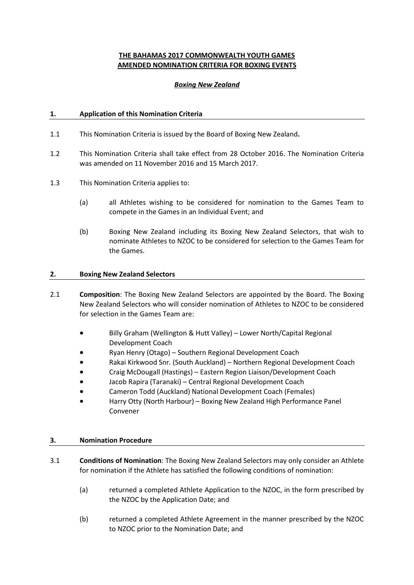# **THE BAHAMAS 2017 COMMONWEALTH YOUTH GAMES AMENDED NOMINATION CRITERIA FOR BOXING EVENTS**

### *Boxing New Zealand*

## **1. Application of this Nomination Criteria**

- 1.1 This Nomination Criteria is issued by the Board of Boxing New Zealand**.**
- 1.2 This Nomination Criteria shall take effect from 28 October 2016. The Nomination Criteria was amended on 11 November 2016 and 15 March 2017.
- 1.3 This Nomination Criteria applies to:
	- (a) all Athletes wishing to be considered for nomination to the Games Team to compete in the Games in an Individual Event; and
	- (b) Boxing New Zealand including its Boxing New Zealand Selectors, that wish to nominate Athletes to NZOC to be considered for selection to the Games Team for the Games.

### **2. Boxing New Zealand Selectors**

- 2.1 **Composition**: The Boxing New Zealand Selectors are appointed by the Board. The Boxing New Zealand Selectors who will consider nomination of Athletes to NZOC to be considered for selection in the Games Team are:
	- Billy Graham (Wellington & Hutt Valley) Lower North/Capital Regional Development Coach
	- Ryan Henry (Otago) Southern Regional Development Coach
	- Rakai Kirkwood Snr. (South Auckland) Northern Regional Development Coach
	- Craig McDougall (Hastings) Eastern Region Liaison/Development Coach
	- Jacob Rapira (Taranaki) Central Regional Development Coach
	- Cameron Todd (Auckland) National Development Coach (Females)
	- Harry Otty (North Harbour) Boxing New Zealand High Performance Panel Convener

### **3. Nomination Procedure**

- 3.1 **Conditions of Nomination**: The Boxing New Zealand Selectors may only consider an Athlete for nomination if the Athlete has satisfied the following conditions of nomination:
	- (a) returned a completed Athlete Application to the NZOC, in the form prescribed by the NZOC by the Application Date; and
	- (b) returned a completed Athlete Agreement in the manner prescribed by the NZOC to NZOC prior to the Nomination Date; and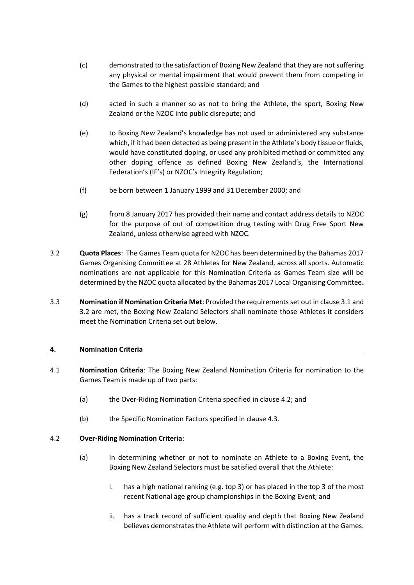- (c) demonstrated to the satisfaction of Boxing New Zealand that they are not suffering any physical or mental impairment that would prevent them from competing in the Games to the highest possible standard; and
- (d) acted in such a manner so as not to bring the Athlete, the sport, Boxing New Zealand or the NZOC into public disrepute; and
- (e) to Boxing New Zealand's knowledge has not used or administered any substance which, if it had been detected as being present in the Athlete's body tissue or fluids, would have constituted doping, or used any prohibited method or committed any other doping offence as defined Boxing New Zealand's, the International Federation's (IF's) or NZOC's Integrity Regulation;
- (f) be born between 1 January 1999 and 31 December 2000; and
- (g) from 8 January 2017 has provided their name and contact address details to NZOC for the purpose of out of competition drug testing with Drug Free Sport New Zealand, unless otherwise agreed with NZOC.
- <span id="page-1-0"></span>3.2 **Quota Places**: The Games Team quota for NZOC has been determined by the Bahamas 2017 Games Organising Committee at 28 Athletes for New Zealand, across all sports. Automatic nominations are not applicable for this Nomination Criteria as Games Team size will be determined by the NZOC quota allocated by the Bahamas 2017 Local Organising Committee**.**
- 3.3 **Nomination if Nomination Criteria Met**: Provided the requirements set out in clause 3.1 and [3.2](#page-1-0) are met, the Boxing New Zealand Selectors shall nominate those Athletes it considers meet the Nomination Criteria set out below.

### **4. Nomination Criteria**

- 4.1 **Nomination Criteria**: The Boxing New Zealand Nomination Criteria for nomination to the Games Team is made up of two parts:
	- (a) the Over-Riding Nomination Criteria specified in clause [4.2;](#page-1-1) and
	- (b) the Specific Nomination Factors specified in clause 4.3.

### <span id="page-1-1"></span>4.2 **Over-Riding Nomination Criteria**:

- (a) In determining whether or not to nominate an Athlete to a Boxing Event, the Boxing New Zealand Selectors must be satisfied overall that the Athlete:
	- i. has a high national ranking (e.g. top 3) or has placed in the top 3 of the most recent National age group championships in the Boxing Event; and
	- ii. has a track record of sufficient quality and depth that Boxing New Zealand believes demonstrates the Athlete will perform with distinction at the Games.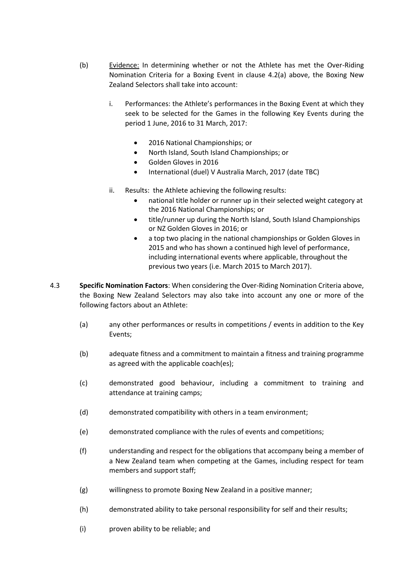- (b) Evidence: In determining whether or not the Athlete has met the Over-Riding Nomination Criteria for a Boxing Event in clause 4.2(a) above, the Boxing New Zealand Selectors shall take into account:
	- i. Performances: the Athlete's performances in the Boxing Event at which they seek to be selected for the Games in the following Key Events during the period 1 June, 2016 to 31 March, 2017:
		- 2016 National Championships; or
		- North Island, South Island Championships; or
		- Golden Gloves in 2016
		- International (duel) V Australia March, 2017 (date TBC)
	- ii. Results: the Athlete achieving the following results:
		- national title holder or runner up in their selected weight category at the 2016 National Championships; or
		- title/runner up during the North Island, South Island Championships or NZ Golden Gloves in 2016; or
		- a top two placing in the national championships or Golden Gloves in 2015 and who has shown a continued high level of performance, including international events where applicable, throughout the previous two years (i.e. March 2015 to March 2017).
- 4.3 **Specific Nomination Factors**: When considering the Over-Riding Nomination Criteria above, the Boxing New Zealand Selectors may also take into account any one or more of the following factors about an Athlete:
	- (a) any other performances or results in competitions / events in addition to the Key Events;
	- (b) adequate fitness and a commitment to maintain a fitness and training programme as agreed with the applicable coach(es);
	- (c) demonstrated good behaviour, including a commitment to training and attendance at training camps;
	- (d) demonstrated compatibility with others in a team environment;
	- (e) demonstrated compliance with the rules of events and competitions;
	- (f) understanding and respect for the obligations that accompany being a member of a New Zealand team when competing at the Games, including respect for team members and support staff;
	- (g) willingness to promote Boxing New Zealand in a positive manner;
	- (h) demonstrated ability to take personal responsibility for self and their results;
	- (i) proven ability to be reliable; and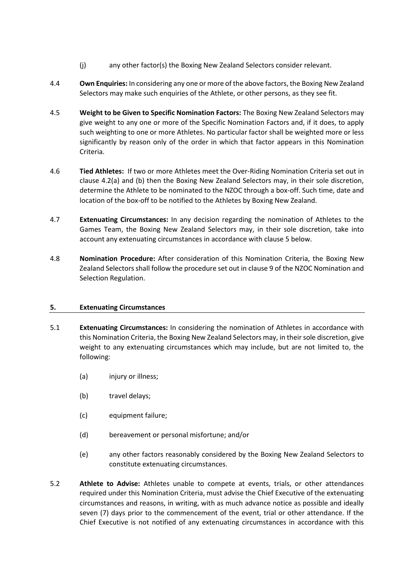- (j) any other factor(s) the Boxing New Zealand Selectors consider relevant.
- 4.4 **Own Enquiries:** In considering any one or more of the above factors, the Boxing New Zealand Selectors may make such enquiries of the Athlete, or other persons, as they see fit.
- 4.5 **Weight to be Given to Specific Nomination Factors:** The Boxing New Zealand Selectors may give weight to any one or more of the Specific Nomination Factors and, if it does, to apply such weighting to one or more Athletes. No particular factor shall be weighted more or less significantly by reason only of the order in which that factor appears in this Nomination Criteria.
- 4.6 **Tied Athletes:** If two or more Athletes meet the Over-Riding Nomination Criteria set out in clause 4.2(a) and (b) then the Boxing New Zealand Selectors may, in their sole discretion, determine the Athlete to be nominated to the NZOC through a box-off. Such time, date and location of the box-off to be notified to the Athletes by Boxing New Zealand.
- 4.7 **Extenuating Circumstances:** In any decision regarding the nomination of Athletes to the Games Team, the Boxing New Zealand Selectors may, in their sole discretion, take into account any extenuating circumstances in accordance with claus[e 5](#page-3-0) below.
- 4.8 **Nomination Procedure:** After consideration of this Nomination Criteria, the Boxing New Zealand Selectors shall follow the procedure set out in clause 9 of the NZOC Nomination and Selection Regulation.

# <span id="page-3-0"></span>**5. Extenuating Circumstances**

- 5.1 **Extenuating Circumstances:** In considering the nomination of Athletes in accordance with this Nomination Criteria, the Boxing New Zealand Selectors may, in their sole discretion, give weight to any extenuating circumstances which may include, but are not limited to, the following:
	- (a) injury or illness;
	- (b) travel delays;
	- (c) equipment failure;
	- (d) bereavement or personal misfortune; and/or
	- (e) any other factors reasonably considered by the Boxing New Zealand Selectors to constitute extenuating circumstances.
- 5.2 **Athlete to Advise:** Athletes unable to compete at events, trials, or other attendances required under this Nomination Criteria, must advise the Chief Executive of the extenuating circumstances and reasons, in writing, with as much advance notice as possible and ideally seven (7) days prior to the commencement of the event, trial or other attendance. If the Chief Executive is not notified of any extenuating circumstances in accordance with this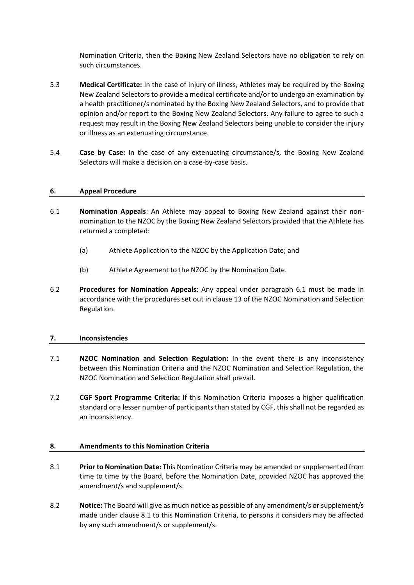Nomination Criteria, then the Boxing New Zealand Selectors have no obligation to rely on such circumstances.

- 5.3 **Medical Certificate:** In the case of injury or illness, Athletes may be required by the Boxing New Zealand Selectors to provide a medical certificate and/or to undergo an examination by a health practitioner/s nominated by the Boxing New Zealand Selectors, and to provide that opinion and/or report to the Boxing New Zealand Selectors. Any failure to agree to such a request may result in the Boxing New Zealand Selectors being unable to consider the injury or illness as an extenuating circumstance.
- 5.4 **Case by Case:** In the case of any extenuating circumstance/s, the Boxing New Zealand Selectors will make a decision on a case-by-case basis.

## **6. Appeal Procedure**

- 6.1 **Nomination Appeals**: An Athlete may appeal to Boxing New Zealand against their nonnomination to the NZOC by the Boxing New Zealand Selectors provided that the Athlete has returned a completed:
	- (a) Athlete Application to the NZOC by the Application Date; and
	- (b) Athlete Agreement to the NZOC by the Nomination Date.
- 6.2 **Procedures for Nomination Appeals**: Any appeal under paragraph 6.1 must be made in accordance with the procedures set out in clause 13 of the NZOC Nomination and Selection Regulation.

### **7. Inconsistencies**

- 7.1 **NZOC Nomination and Selection Regulation:** In the event there is any inconsistency between this Nomination Criteria and the NZOC Nomination and Selection Regulation, the NZOC Nomination and Selection Regulation shall prevail.
- 7.2 **CGF Sport Programme Criteria:** If this Nomination Criteria imposes a higher qualification standard or a lesser number of participants than stated by CGF, this shall not be regarded as an inconsistency.

### **8. Amendments to this Nomination Criteria**

- 8.1 **Prior to Nomination Date:** This Nomination Criteria may be amended or supplemented from time to time by the Board, before the Nomination Date, provided NZOC has approved the amendment/s and supplement/s.
- 8.2 **Notice:** The Board will give as much notice as possible of any amendment/s or supplement/s made under clause 8.1 to this Nomination Criteria, to persons it considers may be affected by any such amendment/s or supplement/s.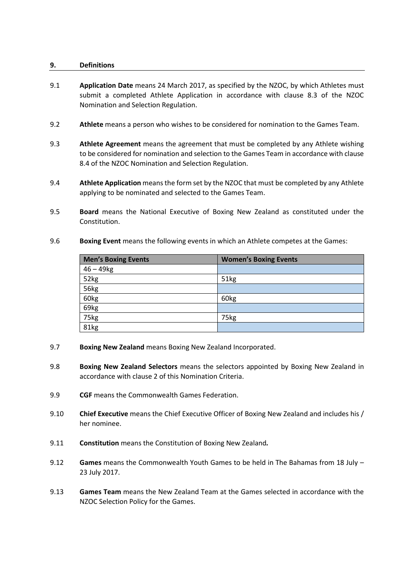### **9. Definitions**

- 9.1 **Application Date** means 24 March 2017, as specified by the NZOC, by which Athletes must submit a completed Athlete Application in accordance with clause 8.3 of the NZOC Nomination and Selection Regulation.
- 9.2 **Athlete** means a person who wishes to be considered for nomination to the Games Team.
- 9.3 **Athlete Agreement** means the agreement that must be completed by any Athlete wishing to be considered for nomination and selection to the Games Team in accordance with clause 8.4 of the NZOC Nomination and Selection Regulation.
- 9.4 **Athlete Application** means the form set by the NZOC that must be completed by any Athlete applying to be nominated and selected to the Games Team.
- 9.5 **Board** means the National Executive of Boxing New Zealand as constituted under the Constitution.
- 9.6 **Boxing Event** means the following events in which an Athlete competes at the Games:

| Men's Boxing Events | <b>Women's Boxing Events</b> |
|---------------------|------------------------------|
| $46 - 49$ kg        |                              |
| 52kg                | 51kg                         |
| 56kg                |                              |
| 60kg                | 60kg                         |
| 69kg                |                              |
| 75kg                | 75kg                         |
| 81kg                |                              |

- 9.7 **Boxing New Zealand** means Boxing New Zealand Incorporated.
- 9.8 **Boxing New Zealand Selectors** means the selectors appointed by Boxing New Zealand in accordance with clause 2 of this Nomination Criteria.
- 9.9 **CGF** means the Commonwealth Games Federation.
- 9.10 **Chief Executive** means the Chief Executive Officer of Boxing New Zealand and includes his / her nominee.
- 9.11 **Constitution** means the Constitution of Boxing New Zealand*.*
- 9.12 **Games** means the Commonwealth Youth Games to be held in The Bahamas from 18 July 23 July 2017.
- 9.13 **Games Team** means the New Zealand Team at the Games selected in accordance with the NZOC Selection Policy for the Games.